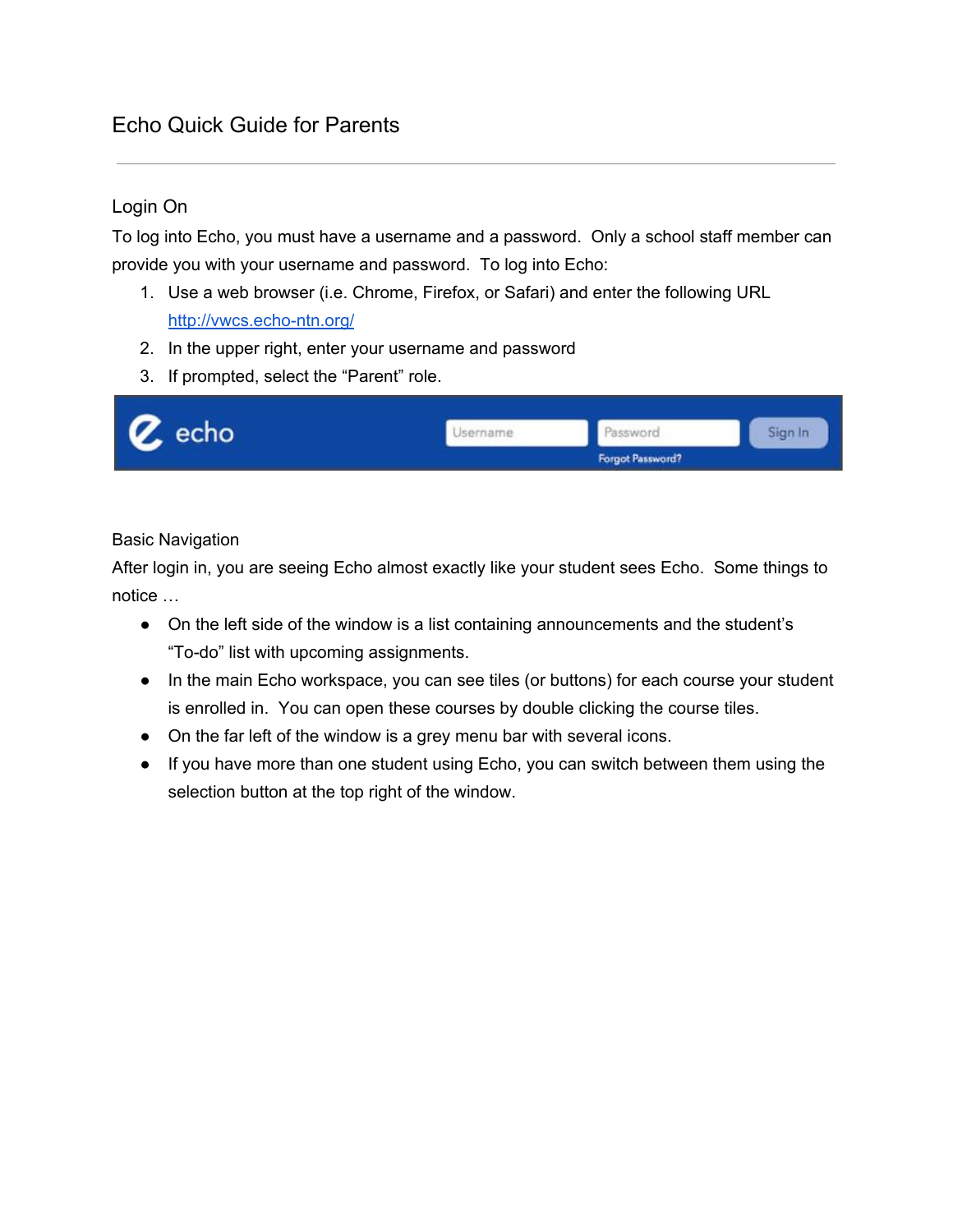## Echo Quick Guide for Parents

## Login On

 To log into Echo, you must have a username and a password. Only a school staff member can provide you with your username and password. To log into Echo:

- 1. Use a web browser (i.e. Chrome, Firefox, or Safari) and enter the following URL http://vwcs.echo-ntn.org/
- 2. In the upper right, enter your username and password
- 3. If prompted, select the "Parent" role.



## Basic Navigation

 After login in, you are seeing Echo almost exactly like your student sees Echo. Some things to notice …

- On the left side of the window is a list containing announcements and the student's "To-do" list with upcoming assignments.
- ● In the main Echo workspace, you can see tiles (or buttons) for each course your student is enrolled in. You can open these courses by double clicking the course tiles.
- On the far left of the window is a grey menu bar with several icons.
- If you have more than one student using Echo, you can switch between them using the selection button at the top right of the window.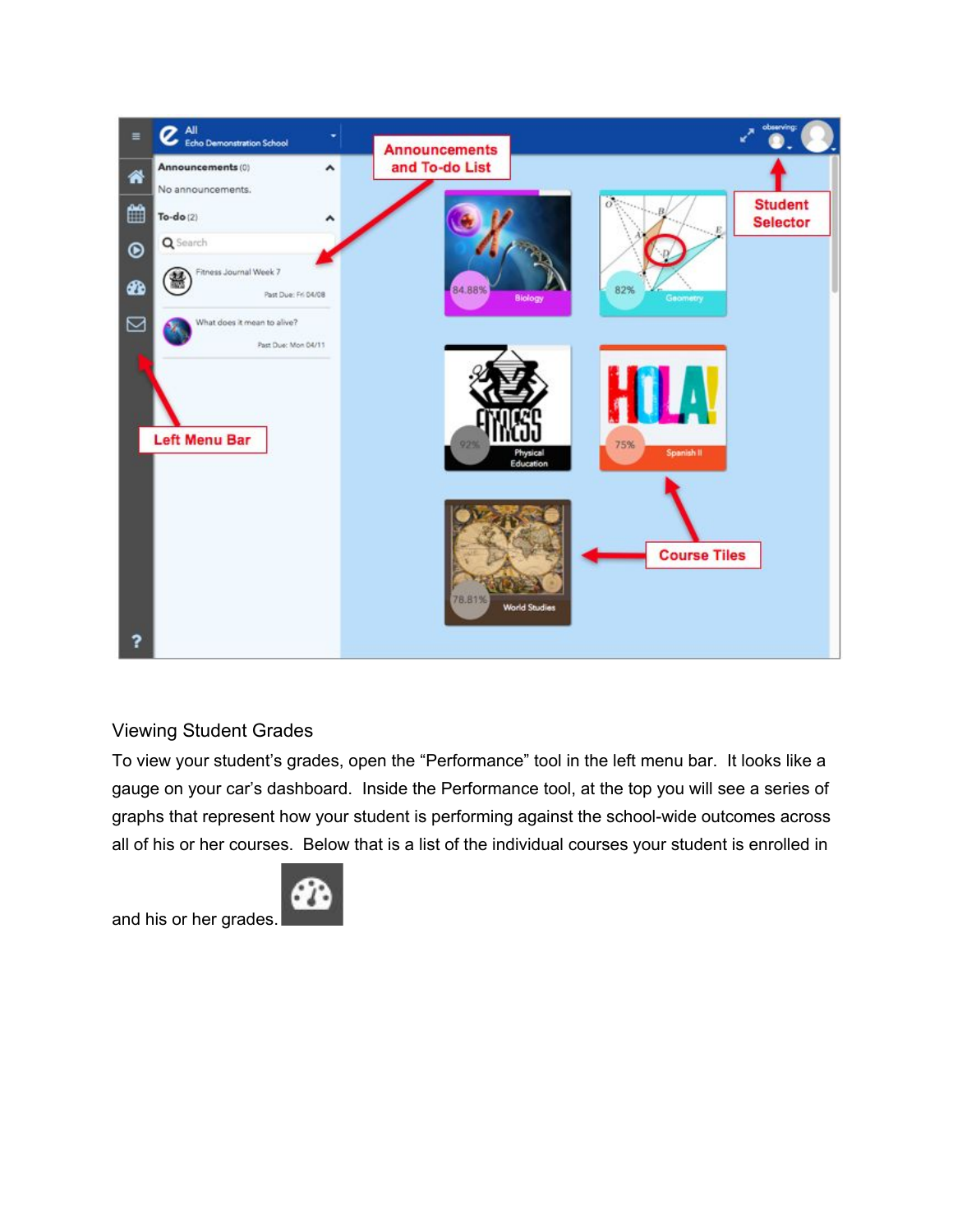

## Viewing Student Grades

 To view your student's grades, open the "Performance" tool in the left menu bar. It looks like a gauge on your car's dashboard. Inside the Performance tool, at the top you will see a series of graphs that represent how your student is performing against the school-wide outcomes across all of his or her courses. Below that is a list of the individual courses your student is enrolled in



and his or her grades.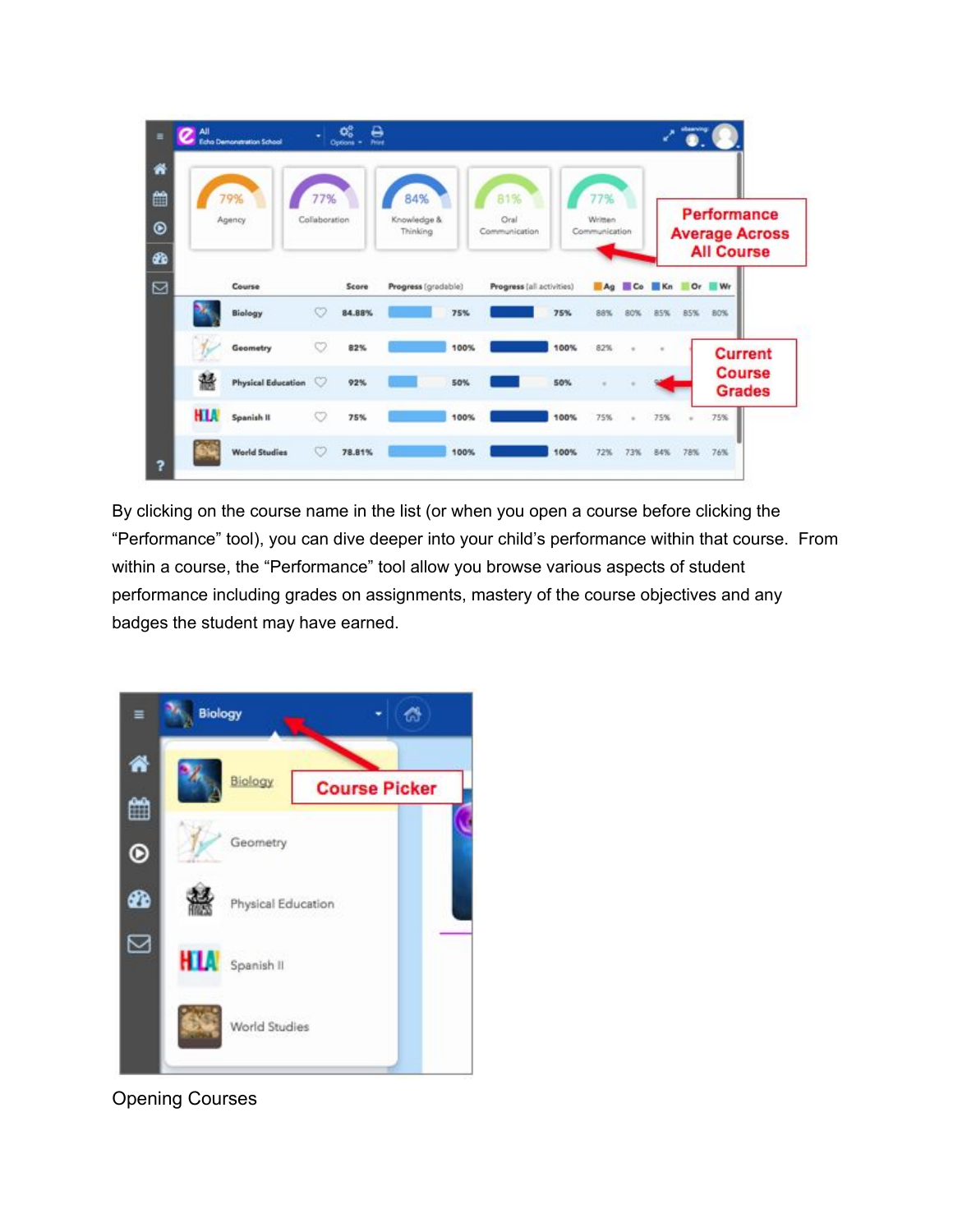| ≝<br>$\bullet$<br>20 | 79%<br>Agency |                           | 77%<br>Collaboration |        | 84%<br>Knowledge &<br>Thinking |      | 81%<br>Oral<br>Communication |      | 77%<br>Written<br>Communication |          | <b>Performance</b><br><b>Average Across</b><br><b>All Course</b> |        |         |                                |
|----------------------|---------------|---------------------------|----------------------|--------|--------------------------------|------|------------------------------|------|---------------------------------|----------|------------------------------------------------------------------|--------|---------|--------------------------------|
| Ø                    |               | Course                    |                      | Score  | Progress (gradable)            |      | Progress (all activities)    |      |                                 |          | Ag Co Kn                                                         |        | $Or$ Wr |                                |
|                      |               | Biology                   | O                    | 84.88% |                                | 75%  |                              | 75%  | 88%                             | 80%      | 85%                                                              | 85%    | 80%     |                                |
|                      |               | Geometry                  | w                    | 82%    |                                | 100% |                              | 100% | 82%                             | $\alpha$ |                                                                  |        |         | <b>Current</b>                 |
|                      | 鬹             | <b>Physical Education</b> | $\circ$              | 92%    |                                | 50%  |                              | 50%  |                                 |          |                                                                  |        |         | <b>Course</b><br><b>Grades</b> |
|                      | <b>HLA</b>    | Spanish II                | O                    | 75%    |                                | 100% |                              | 100% | 75%                             |          | 75%                                                              | $\sim$ | 75%     |                                |
|                      |               | <b>World Studies</b>      | O                    | 78.81% |                                | 100% |                              | 100% | 72%                             | 73%      | 84%                                                              |        | 78% 76% |                                |

 By clicking on the course name in the list (or when you open a course before clicking the "Performance" tool), you can dive deeper into your child's performance within that course. From within a course, the "Performance" tool allow you browse various aspects of student performance including grades on assignments, mastery of the course objectives and any badges the student may have earned.



Opening Courses